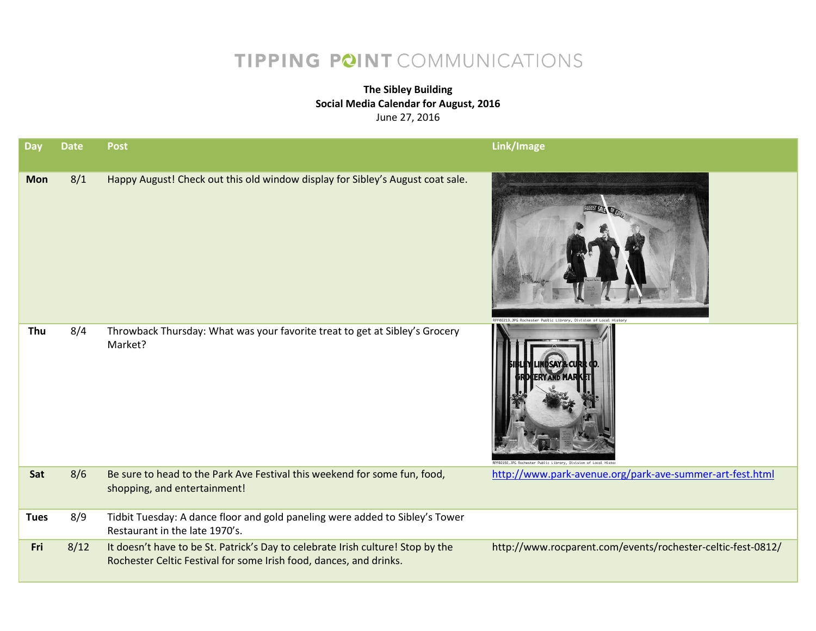## TIPPING POINT COMMUNICATIONS

## **The Sibley Building Social Media Calendar for August, 2016** June 27, 2016

| Day         | <b>Date</b> | <b>Post</b>                                                                                                                                           | Link/Image                                                     |
|-------------|-------------|-------------------------------------------------------------------------------------------------------------------------------------------------------|----------------------------------------------------------------|
| <b>Mon</b>  | 8/1         | Happy August! Check out this old window display for Sibley's August coat sale.                                                                        | F02213.JPG Rochester Public Library, Division of Local History |
| Thu         | 8/4         | Throwback Thursday: What was your favorite treat to get at Sibley's Grocery<br>Market?                                                                | 2192.JPG Rochester Public Library, Division of Local Hist      |
| Sat         | 8/6         | Be sure to head to the Park Ave Festival this weekend for some fun, food,<br>shopping, and entertainment!                                             | http://www.park-avenue.org/park-ave-summer-art-fest.html       |
| <b>Tues</b> | 8/9         | Tidbit Tuesday: A dance floor and gold paneling were added to Sibley's Tower<br>Restaurant in the late 1970's.                                        |                                                                |
| Fri         | 8/12        | It doesn't have to be St. Patrick's Day to celebrate Irish culture! Stop by the<br>Rochester Celtic Festival for some Irish food, dances, and drinks. | http://www.rocparent.com/events/rochester-celtic-fest-0812/    |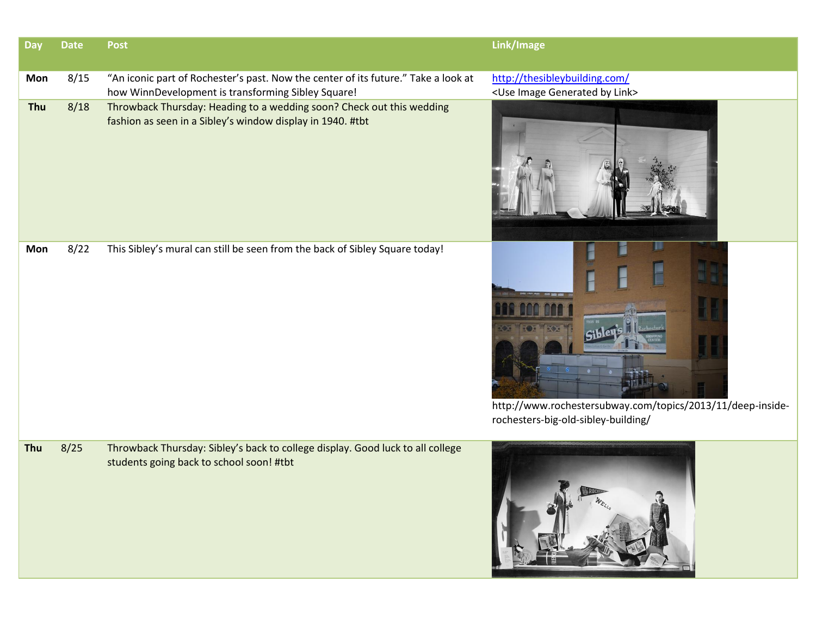| <b>Day</b> | <b>Date</b> | <b>Post</b>                                                                                                                              | Link/Image                                                                                                             |
|------------|-------------|------------------------------------------------------------------------------------------------------------------------------------------|------------------------------------------------------------------------------------------------------------------------|
| Mon        | 8/15        | "An iconic part of Rochester's past. Now the center of its future." Take a look at<br>how WinnDevelopment is transforming Sibley Square! | http://thesibleybuilding.com/<br><use by="" generated="" image="" link=""></use>                                       |
| Thu        | 8/18        | Throwback Thursday: Heading to a wedding soon? Check out this wedding<br>fashion as seen in a Sibley's window display in 1940. #tbt      |                                                                                                                        |
| Mon        | 8/22        | This Sibley's mural can still be seen from the back of Sibley Square today!                                                              | <b>1500 W 200</b><br>http://www.rochestersubway.com/topics/2013/11/deep-inside-<br>rochesters-big-old-sibley-building/ |
| Thu        | 8/25        | Throwback Thursday: Sibley's back to college display. Good luck to all college<br>students going back to school soon! #tbt               |                                                                                                                        |